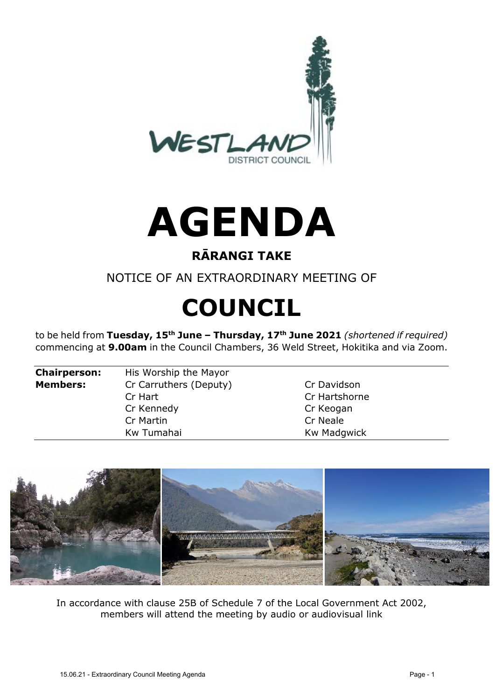

# **AGENDA**

#### **RĀRANGI TAKE**

#### NOTICE OF AN EXTRAORDINARY MEETING OF

## **COUNCIL**

to be held from **Tuesday, 15th June – Thursday, 17th June 2021** *(shortened if required)* commencing at **9.00am** in the Council Chambers, 36 Weld Street, Hokitika and via Zoom.

| <b>Chairperson:</b> | His Worship the Mayor  |                    |
|---------------------|------------------------|--------------------|
| <b>Members:</b>     | Cr Carruthers (Deputy) | Cr Davidson        |
|                     | Cr Hart                | Cr Hartshorne      |
|                     | Cr Kennedy             | Cr Keogan          |
|                     | Cr Martin              | Cr Neale           |
|                     | Kw Tumahai             | <b>Kw Madgwick</b> |



In accordance with clause 25B of Schedule 7 of the Local Government Act 2002, members will attend the meeting by audio or audiovisual link